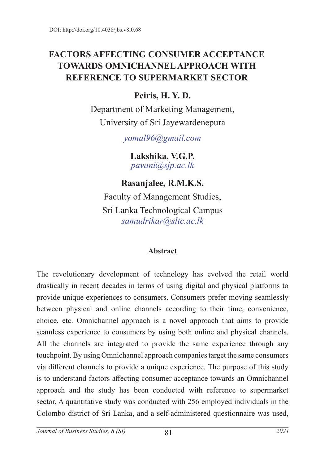# **FACTORS AFFECTING CONSUMER ACCEPTANCE TOWARDS OMNICHANNEL APPROACH WITH REFERENCE TO SUPERMARKET SECTOR**

# **Peiris, H. Y. D.**

Department of Marketing Management, University of Sri Jayewardenepura

*yomal96@gmail.com*

**Lakshika, V.G.P.** *pavani@sjp.ac.lk*

**Rasanjalee, R.M.K.S.** Faculty of Management Studies,

Sri Lanka Technological Campus *samudrikar@sltc.ac.lk*

## **Abstract**

The revolutionary development of technology has evolved the retail world drastically in recent decades in terms of using digital and physical platforms to provide unique experiences to consumers. Consumers prefer moving seamlessly between physical and online channels according to their time, convenience, choice, etc. Omnichannel approach is a novel approach that aims to provide seamless experience to consumers by using both online and physical channels. All the channels are integrated to provide the same experience through any touchpoint. By using Omnichannel approach companies target the same consumers via different channels to provide a unique experience. The purpose of this study is to understand factors affecting consumer acceptance towards an Omnichannel approach and the study has been conducted with reference to supermarket sector. A quantitative study was conducted with 256 employed individuals in the Colombo district of Sri Lanka, and a self-administered questionnaire was used,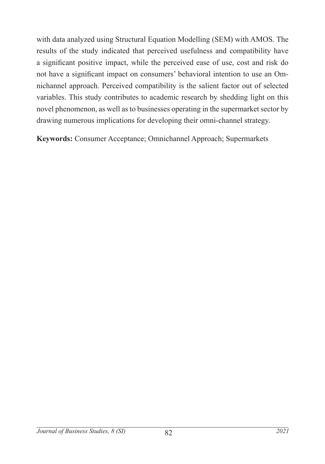with data analyzed using Structural Equation Modelling (SEM) with AMOS. The results of the study indicated that perceived usefulness and compatibility have a significant positive impact, while the perceived ease of use, cost and risk do not have a significant impact on consumers' behavioral intention to use an Omnichannel approach. Perceived compatibility is the salient factor out of selected variables. This study contributes to academic research by shedding light on this novel phenomenon, as well as to businesses operating in the supermarket sector by drawing numerous implications for developing their omni-channel strategy.

**Keywords:** Consumer Acceptance; Omnichannel Approach; Supermarkets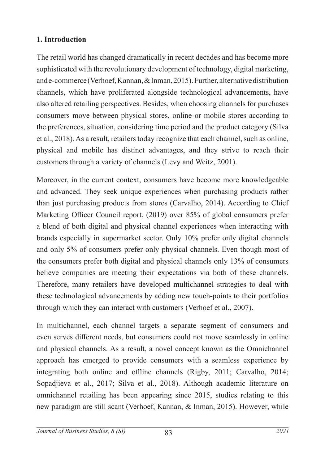### **1. Introduction**

The retail world has changed dramatically in recent decades and has become more sophisticated with the revolutionary development of technology, digital marketing, and e-commerce (Verhoef, Kannan, & Inman, 2015). Further, alternative distribution channels, which have proliferated alongside technological advancements, have also altered retailing perspectives. Besides, when choosing channels for purchases consumers move between physical stores, online or mobile stores according to the preferences, situation, considering time period and the product category (Silva et al., 2018). As a result, retailers today recognize that each channel, such as online, physical and mobile has distinct advantages, and they strive to reach their customers through a variety of channels (Levy and Weitz, 2001).

Moreover, in the current context, consumers have become more knowledgeable and advanced. They seek unique experiences when purchasing products rather than just purchasing products from stores (Carvalho, 2014). According to Chief Marketing Officer Council report, (2019) over 85% of global consumers prefer a blend of both digital and physical channel experiences when interacting with brands especially in supermarket sector. Only 10% prefer only digital channels and only 5% of consumers prefer only physical channels. Even though most of the consumers prefer both digital and physical channels only 13% of consumers believe companies are meeting their expectations via both of these channels. Therefore, many retailers have developed multichannel strategies to deal with these technological advancements by adding new touch-points to their portfolios through which they can interact with customers (Verhoef et al., 2007).

In multichannel, each channel targets a separate segment of consumers and even serves different needs, but consumers could not move seamlessly in online and physical channels. As a result, a novel concept known as the Omnichannel approach has emerged to provide consumers with a seamless experience by integrating both online and offline channels (Rigby, 2011; Carvalho, 2014; Sopadjieva et al., 2017; Silva et al., 2018). Although academic literature on omnichannel retailing has been appearing since 2015, studies relating to this new paradigm are still scant (Verhoef, Kannan, & Inman, 2015). However, while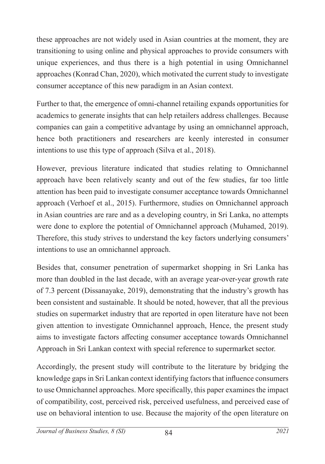these approaches are not widely used in Asian countries at the moment, they are transitioning to using online and physical approaches to provide consumers with unique experiences, and thus there is a high potential in using Omnichannel approaches (Konrad Chan, 2020), which motivated the current study to investigate consumer acceptance of this new paradigm in an Asian context.

Further to that, the emergence of omni-channel retailing expands opportunities for academics to generate insights that can help retailers address challenges. Because companies can gain a competitive advantage by using an omnichannel approach, hence both practitioners and researchers are keenly interested in consumer intentions to use this type of approach (Silva et al., 2018).

However, previous literature indicated that studies relating to Omnichannel approach have been relatively scanty and out of the few studies, far too little attention has been paid to investigate consumer acceptance towards Omnichannel approach (Verhoef et al., 2015). Furthermore, studies on Omnichannel approach in Asian countries are rare and as a developing country, in Sri Lanka, no attempts were done to explore the potential of Omnichannel approach (Muhamed, 2019). Therefore, this study strives to understand the key factors underlying consumers' intentions to use an omnichannel approach.

Besides that, consumer penetration of supermarket shopping in Sri Lanka has more than doubled in the last decade, with an average year-over-year growth rate of 7.3 percent (Dissanayake, 2019), demonstrating that the industry's growth has been consistent and sustainable. It should be noted, however, that all the previous studies on supermarket industry that are reported in open literature have not been given attention to investigate Omnichannel approach, Hence, the present study aims to investigate factors affecting consumer acceptance towards Omnichannel Approach in Sri Lankan context with special reference to supermarket sector.

Accordingly, the present study will contribute to the literature by bridging the knowledge gaps in Sri Lankan context identifying factors that influence consumers to use Omnichannel approaches. More specifically, this paper examines the impact of compatibility, cost, perceived risk, perceived usefulness, and perceived ease of use on behavioral intention to use. Because the majority of the open literature on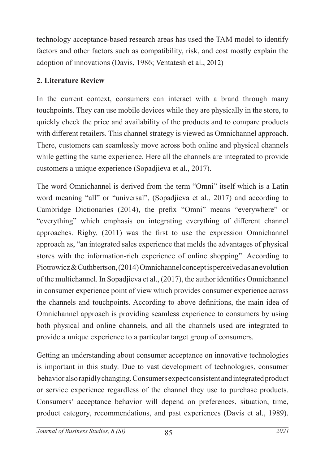technology acceptance-based research areas has used the TAM model to identify factors and other factors such as compatibility, risk, and cost mostly explain the adoption of innovations (Davis, 1986; Ventatesh et al., 2012)

## **2. Literature Review**

In the current context, consumers can interact with a brand through many touchpoints. They can use mobile devices while they are physically in the store, to quickly check the price and availability of the products and to compare products with different retailers. This channel strategy is viewed as Omnichannel approach. There, customers can seamlessly move across both online and physical channels while getting the same experience. Here all the channels are integrated to provide customers a unique experience (Sopadjieva et al., 2017).

The word Omnichannel is derived from the term "Omni" itself which is a Latin word meaning "all" or "universal", (Sopadjieva et al., 2017) and according to Cambridge Dictionaries (2014), the prefix "Omni" means "everywhere" or "everything" which emphasis on integrating everything of different channel approaches. Rigby, (2011) was the first to use the expression Omnichannel approach as, "an integrated sales experience that melds the advantages of physical stores with the information-rich experience of online shopping". According to Piotrowicz & Cuthbertson, (2014) Omnichannel concept is perceived as an evolution of the multichannel. In Sopadjieva et al., (2017), the author identifies Omnichannel in consumer experience point of view which provides consumer experience across the channels and touchpoints. According to above definitions, the main idea of Omnichannel approach is providing seamless experience to consumers by using both physical and online channels, and all the channels used are integrated to provide a unique experience to a particular target group of consumers.

Getting an understanding about consumer acceptance on innovative technologies is important in this study. Due to vast development of technologies, consumer behavior also rapidly changing. Consumers expect consistent and integrated product or service experience regardless of the channel they use to purchase products. Consumers' acceptance behavior will depend on preferences, situation, time, product category, recommendations, and past experiences (Davis et al., 1989).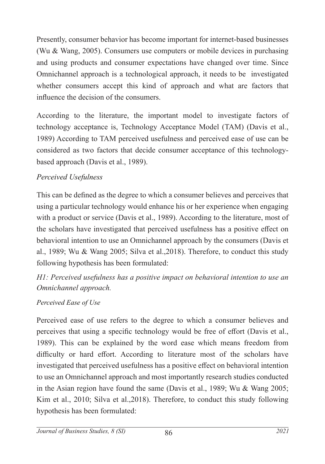Presently, consumer behavior has become important for internet-based businesses (Wu & Wang, 2005). Consumers use computers or mobile devices in purchasing and using products and consumer expectations have changed over time. Since Omnichannel approach is a technological approach, it needs to be investigated whether consumers accept this kind of approach and what are factors that influence the decision of the consumers.

According to the literature, the important model to investigate factors of technology acceptance is, Technology Acceptance Model (TAM) (Davis et al., 1989) According to TAM perceived usefulness and perceived ease of use can be considered as two factors that decide consumer acceptance of this technologybased approach (Davis et al., 1989).

### *Perceived Usefulness*

This can be defined as the degree to which a consumer believes and perceives that using a particular technology would enhance his or her experience when engaging with a product or service (Davis et al., 1989). According to the literature, most of the scholars have investigated that perceived usefulness has a positive effect on behavioral intention to use an Omnichannel approach by the consumers (Davis et al., 1989; Wu & Wang 2005; Silva et al.,2018). Therefore, to conduct this study following hypothesis has been formulated:

*H1: Perceived usefulness has a positive impact on behavioral intention to use an Omnichannel approach.*

### *Perceived Ease of Use*

Perceived ease of use refers to the degree to which a consumer believes and perceives that using a specific technology would be free of effort (Davis et al., 1989). This can be explained by the word ease which means freedom from difficulty or hard effort. According to literature most of the scholars have investigated that perceived usefulness has a positive effect on behavioral intention to use an Omnichannel approach and most importantly research studies conducted in the Asian region have found the same (Davis et al., 1989; Wu & Wang 2005; Kim et al., 2010; Silva et al.,2018). Therefore, to conduct this study following hypothesis has been formulated: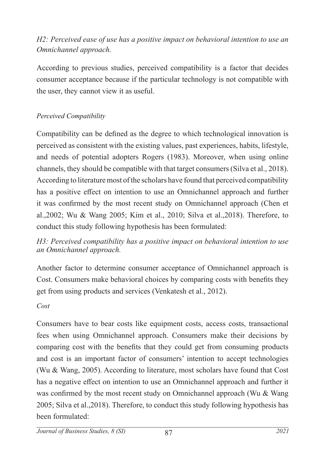## *H2: Perceived ease of use has a positive impact on behavioral intention to use an Omnichannel approach.*

According to previous studies, perceived compatibility is a factor that decides consumer acceptance because if the particular technology is not compatible with the user, they cannot view it as useful.

#### *Perceived Compatibility*

Compatibility can be defined as the degree to which technological innovation is perceived as consistent with the existing values, past experiences, habits, lifestyle, and needs of potential adopters Rogers (1983). Moreover, when using online channels, they should be compatible with that target consumers (Silva et al., 2018). According to literature most of the scholars have found that perceived compatibility has a positive effect on intention to use an Omnichannel approach and further it was confirmed by the most recent study on Omnichannel approach (Chen et al.,2002; Wu & Wang 2005; Kim et al., 2010; Silva et al.,2018). Therefore, to conduct this study following hypothesis has been formulated:

#### *H3: Perceived compatibility has a positive impact on behavioral intention to use an Omnichannel approach.*

Another factor to determine consumer acceptance of Omnichannel approach is Cost. Consumers make behavioral choices by comparing costs with benefits they get from using products and services (Venkatesh et al., 2012).

#### *Cost*

Consumers have to bear costs like equipment costs, access costs, transactional fees when using Omnichannel approach. Consumers make their decisions by comparing cost with the benefits that they could get from consuming products and cost is an important factor of consumers' intention to accept technologies (Wu & Wang, 2005). According to literature, most scholars have found that Cost has a negative effect on intention to use an Omnichannel approach and further it was confirmed by the most recent study on Omnichannel approach (Wu & Wang 2005; Silva et al.,2018). Therefore, to conduct this study following hypothesis has been formulated: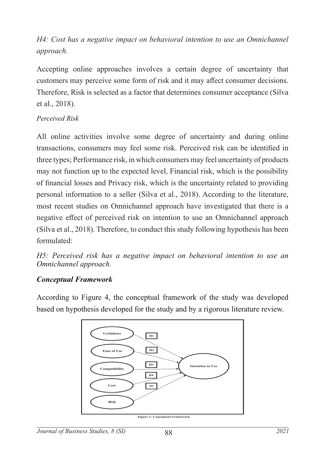# *H4: Cost has a negative impact on behavioral intention to use an Omnichannel approach.*

Accepting online approaches involves a certain degree of uncertainty that customers may perceive some form of risk and it may affect consumer decisions. Therefore, Risk is selected as a factor that determines consumer acceptance (Silva et al., 2018).

#### *Perceived Risk*

All online activities involve some degree of uncertainty and during online transactions, consumers may feel some risk. Perceived risk can be identified in three types; Performance risk, in which consumers may feel uncertainty of products may not function up to the expected level, Financial risk, which is the possibility of financial losses and Privacy risk, which is the uncertainty related to providing personal information to a seller (Silva et al., 2018). According to the literature, most recent studies on Omnichannel approach have investigated that there is a negative effect of perceived risk on intention to use an Omnichannel approach (Silva et al., 2018). Therefore, to conduct this study following hypothesis has been formulated:

*H5: Perceived risk has a negative impact on behavioral intention to use an Omnichannel approach.*

### *Conceptual Framework*

According to Figure 4, the conceptual framework of the study was developed based on hypothesis developed for the study and by a rigorous literature review.

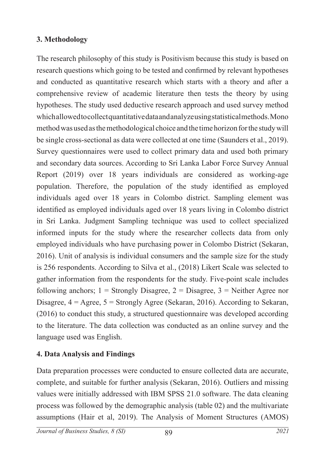### **3. Methodology**

The research philosophy of this study is Positivism because this study is based on research questions which going to be tested and confirmed by relevant hypotheses and conducted as quantitative research which starts with a theory and after a comprehensive review of academic literature then tests the theory by using hypotheses. The study used deductive research approach and used survey method which allowed to collect quantitative data and analyze using statistical methods. Mono method was used as the methodological choice and the time horizon for the study will be single cross-sectional as data were collected at one time (Saunders et al., 2019). Survey questionnaires were used to collect primary data and used both primary and secondary data sources. According to Sri Lanka Labor Force Survey Annual Report (2019) over 18 years individuals are considered as working-age population. Therefore, the population of the study identified as employed individuals aged over 18 years in Colombo district. Sampling element was identified as employed individuals aged over 18 years living in Colombo district in Sri Lanka. Judgment Sampling technique was used to collect specialized informed inputs for the study where the researcher collects data from only employed individuals who have purchasing power in Colombo District (Sekaran, 2016). Unit of analysis is individual consumers and the sample size for the study is 256 respondents. According to Silva et al., (2018) Likert Scale was selected to gather information from the respondents for the study. Five-point scale includes following anchors;  $1 =$  Strongly Disagree,  $2 =$  Disagree,  $3 =$  Neither Agree nor Disagree,  $4 = \text{Agree}, 5 = \text{Strongly Agree}$  (Sekaran, 2016). According to Sekaran, (2016) to conduct this study, a structured questionnaire was developed according to the literature. The data collection was conducted as an online survey and the language used was English.

## **4. Data Analysis and Findings**

Data preparation processes were conducted to ensure collected data are accurate, complete, and suitable for further analysis (Sekaran, 2016). Outliers and missing values were initially addressed with IBM SPSS 21.0 software. The data cleaning process was followed by the demographic analysis (table 02) and the multivariate assumptions (Hair et al, 2019). The Analysis of Moment Structures (AMOS)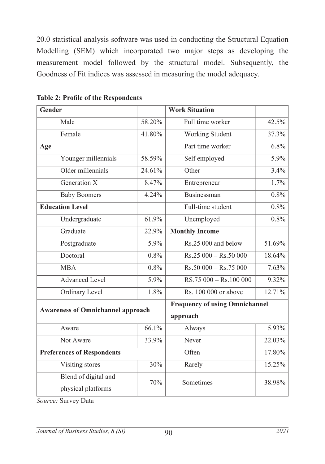20.0 statistical analysis software was used in conducting the Structural Equation Modelling (SEM) which incorporated two major steps as developing the measurement model followed by the structural model. Subsequently, the Goodness of Fit indices was assessed in measuring the model adequacy.

| Gender                                   |        | <b>Work Situation</b>                 |        |
|------------------------------------------|--------|---------------------------------------|--------|
| Male                                     | 58.20% | Full time worker                      | 42.5%  |
| Female                                   | 41.80% | Working Student                       | 37.3%  |
| Age                                      |        | Part time worker                      | 6.8%   |
| Younger millennials                      | 58.59% | Self employed                         | 5.9%   |
| Older millennials                        | 24.61% | Other                                 | 3.4%   |
| Generation X                             | 8.47%  | Entrepreneur                          | 1.7%   |
| <b>Baby Boomers</b>                      | 4.24%  | Businessman                           | 0.8%   |
| <b>Education Level</b>                   |        | Full-time student                     | 0.8%   |
| Undergraduate                            | 61.9%  | Unemployed                            | 0.8%   |
| Graduate                                 | 22.9%  | <b>Monthly Income</b>                 |        |
| Postgraduate                             | 5.9%   | Rs.25 000 and below                   | 51.69% |
| Doctoral                                 | 0.8%   | $Rs.25000 - Rs.50000$                 | 18.64% |
| <b>MBA</b>                               | 0.8%   | $Rs.50000 - Rs.75000$                 | 7.63%  |
| <b>Advanced Level</b>                    | 5.9%   | RS.75 000 - Rs.100 000                | 9.32%  |
| Ordinary Level                           | 1.8%   | Rs. 100 000 or above                  | 12.71% |
| <b>Awareness of Omnichannel approach</b> |        | <b>Frequency of using Omnichannel</b> |        |
|                                          |        | approach                              |        |
| Aware                                    | 66.1%  | Always                                | 5.93%  |
| Not Aware                                | 33.9%  | Never                                 | 22.03% |
| <b>Preferences of Respondents</b>        |        | Often                                 | 17.80% |
| Visiting stores                          | 30%    | Rarely                                | 15.25% |
| Blend of digital and                     | 70%    | Sometimes                             | 38.98% |
| physical platforms                       |        |                                       |        |
|                                          |        |                                       |        |

**Table 2: Profile of the Respondents**

Source: Survey Data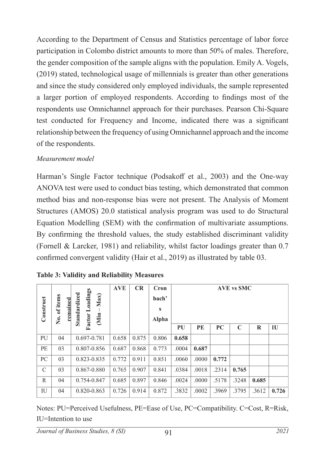According to the Department of Census and Statistics percentage of labor force participation in Colombo district amounts to more than 50% of males. Therefore, the gender composition of the sample aligns with the population. Emily A. Vogels, (2019) stated, technological usage of millennials is greater than other generations and since the study considered only employed individuals, the sample represented a larger portion of employed respondents. According to findings most of the respondents use Omnichannel approach for their purchases. Pearson Chi-Square test conducted for Frequency and Income, indicated there was a significant relationship between the frequency of using Omnichannel approach and the income of the respondents.

#### *Measurement model*

Harman's Single Factor technique (Podsakoff et al., 2003) and the One-way ANOVA test were used to conduct bias testing, which demonstrated that common method bias and non-response bias were not present. The Analysis of Moment Structures (AMOS) 20.0 statistical analysis program was used to do Structural Equation Modelling (SEM) with the confirmation of multivariate assumptions. By confirming the threshold values, the study established discriminant validity (Fornell & Larcker, 1981) and reliability, whilst factor loadings greater than 0.7 confirmed convergent validity (Hair et al., 2019) as illustrated by table 03.

| Construct     | No. of items<br>remained | Loadings<br>Standardized<br>Max)<br>Factor <sup>1</sup><br>(Min | <b>AVE</b> | CR    | Cron<br>bach'<br>S<br>Alpha |       |       |       | <b>AVE vs SMC</b> |         |       |
|---------------|--------------------------|-----------------------------------------------------------------|------------|-------|-----------------------------|-------|-------|-------|-------------------|---------|-------|
|               |                          |                                                                 |            |       |                             | PU    | PЕ    | PC    | $\mathbb{C}$      | $\bf R$ | IU    |
| PU            | 04                       | 0.697-0.781                                                     | 0.658      | 0.875 | 0.806                       | 0.658 |       |       |                   |         |       |
| PE            | 03                       | 0.807-0.856                                                     | 0.687      | 0.868 | 0.773                       | .0004 | 0.687 |       |                   |         |       |
| PC            | 03                       | 0.823-0.835                                                     | 0.772      | 0.911 | 0.851                       | .0060 | .0000 | 0.772 |                   |         |       |
| $\mathcal{C}$ | 03                       | 0.867-0.880                                                     | 0.765      | 0.907 | 0.841                       | .0384 | .0018 | .2314 | 0.765             |         |       |
| R             | 04                       | 0.754-0.847                                                     | 0.685      | 0.897 | 0.846                       | .0024 | .0000 | .5178 | .3248             | 0.685   |       |
| IU            | 04                       | 0.820-0.863                                                     | 0.726      | 0.914 | 0.872                       | .3832 | .0002 | .3969 | .3795             | .3612   | 0.726 |

**Table 3: Validity and Reliability Measures**

Notes: PU=Perceived Usefulness, PE=Ease of Use, PC=Compatibility. C=Cost, R=Risk, IU=Intention to use

91 *Journal of Business Studies, 8 (SI) 2021*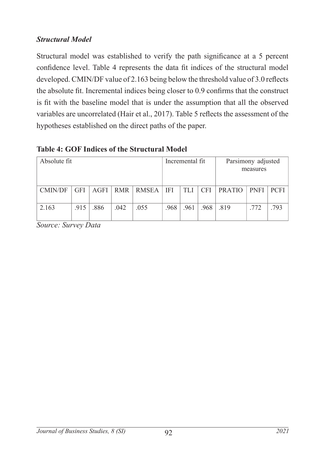### *Structural Model*

Structural model was established to verify the path significance at a 5 percent confidence level. Table 4 represents the data fit indices of the structural model developed. CMIN/DF value of 2.163 being below the threshold value of 3.0 reflects the absolute fit. Incremental indices being closer to 0.9 confirms that the construct is fit with the baseline model that is under the assumption that all the observed variables are uncorrelated (Hair et al., 2017). Table 5 reflects the assessment of the hypotheses established on the direct paths of the paper.

#### **Table 4: GOF Indices of the Structural Model**

| Absolute fit   |            |      |      |                   | Incremental fit |       |            |        | Parsimony adjusted<br>measures |      |
|----------------|------------|------|------|-------------------|-----------------|-------|------------|--------|--------------------------------|------|
| <b>CMIN/DF</b> | <b>GFI</b> | AGFI |      | RMR   RMSEA   IFI |                 | TLI 1 | <b>CFI</b> | PRATIO | <b>PNFI</b>                    | PCFI |
| 2.163          | .915       | .886 | .042 | .055              | .968            | .961  | .968       | .819   | .772                           | .793 |

*Source: Survey Data*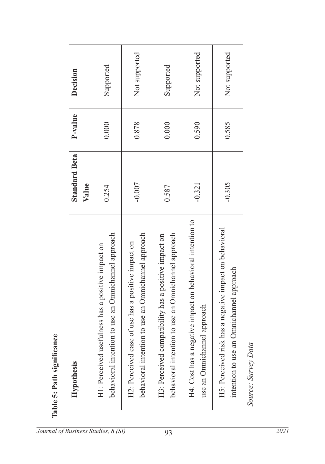| Supported<br>Supported<br>0.000<br>0.878<br>0.590<br>0.585<br>0.000<br>$-0.007$<br>$-0.305$<br>$-0.321$<br>0.254<br>0.587<br>H4: Cost has a negative impact on behavioral intention to<br>H5: Perceived risk has a negative impact on behavioral<br>to use an Omnichannel approach<br>to use an Omnichannel approach<br>to use an Omnichannel approach<br>H3: Perceived compatibility has a positive impact on<br>H2: Perceived ease of use has a positive impact on<br>lness has a positive impact on<br>approach<br>H1: Perceived useful<br>behavioral intention<br>behavioral intention<br>behavioral intention<br>use an Omnichannel | <b>Hypothesis</b>                            | <b>Standard Beta</b><br>Value | P-value | Decision      |
|------------------------------------------------------------------------------------------------------------------------------------------------------------------------------------------------------------------------------------------------------------------------------------------------------------------------------------------------------------------------------------------------------------------------------------------------------------------------------------------------------------------------------------------------------------------------------------------------------------------------------------------|----------------------------------------------|-------------------------------|---------|---------------|
|                                                                                                                                                                                                                                                                                                                                                                                                                                                                                                                                                                                                                                          |                                              |                               |         |               |
|                                                                                                                                                                                                                                                                                                                                                                                                                                                                                                                                                                                                                                          |                                              |                               |         | Not supported |
|                                                                                                                                                                                                                                                                                                                                                                                                                                                                                                                                                                                                                                          |                                              |                               |         |               |
|                                                                                                                                                                                                                                                                                                                                                                                                                                                                                                                                                                                                                                          |                                              |                               |         | Not supported |
|                                                                                                                                                                                                                                                                                                                                                                                                                                                                                                                                                                                                                                          | mnichannel approach<br>intention to use an O |                               |         | Not supported |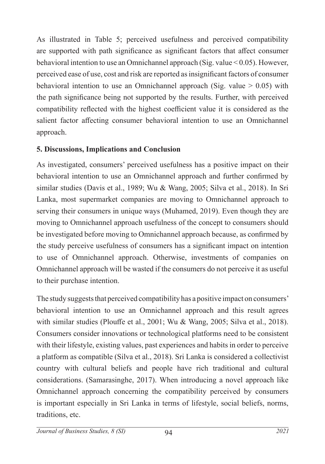As illustrated in Table 5; perceived usefulness and perceived compatibility are supported with path significance as significant factors that affect consumer behavioral intention to use an Omnichannel approach (Sig. value < 0.05). However, perceived ease of use, cost and risk are reported as insignificant factors of consumer behavioral intention to use an Omnichannel approach (Sig. value  $> 0.05$ ) with the path significance being not supported by the results. Further, with perceived compatibility reflected with the highest coefficient value it is considered as the salient factor affecting consumer behavioral intention to use an Omnichannel approach.

### **5. Discussions, Implications and Conclusion**

As investigated, consumers' perceived usefulness has a positive impact on their behavioral intention to use an Omnichannel approach and further confirmed by similar studies (Davis et al., 1989; Wu & Wang, 2005; Silva et al., 2018). In Sri Lanka, most supermarket companies are moving to Omnichannel approach to serving their consumers in unique ways (Muhamed, 2019). Even though they are moving to Omnichannel approach usefulness of the concept to consumers should be investigated before moving to Omnichannel approach because, as confirmed by the study perceive usefulness of consumers has a significant impact on intention to use of Omnichannel approach. Otherwise, investments of companies on Omnichannel approach will be wasted if the consumers do not perceive it as useful to their purchase intention.

The study suggests that perceived compatibility has a positive impact on consumers' behavioral intention to use an Omnichannel approach and this result agrees with similar studies (Plouffe et al., 2001; Wu & Wang, 2005; Silva et al., 2018). Consumers consider innovations or technological platforms need to be consistent with their lifestyle, existing values, past experiences and habits in order to perceive a platform as compatible (Silva et al., 2018). Sri Lanka is considered a collectivist country with cultural beliefs and people have rich traditional and cultural considerations. (Samarasinghe, 2017). When introducing a novel approach like Omnichannel approach concerning the compatibility perceived by consumers is important especially in Sri Lanka in terms of lifestyle, social beliefs, norms, traditions, etc.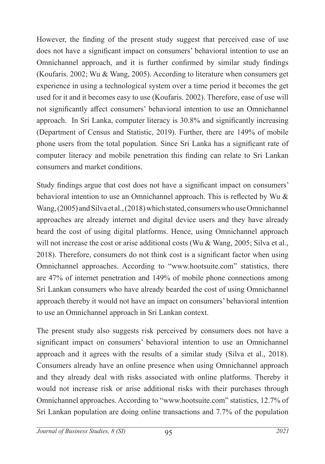However, the finding of the present study suggest that perceived ease of use does not have a significant impact on consumers' behavioral intention to use an Omnichannel approach, and it is further confirmed by similar study findings (Koufaris. 2002; Wu & Wang, 2005). According to literature when consumers get experience in using a technological system over a time period it becomes the get used for it and it becomes easy to use (Koufaris. 2002). Therefore, ease of use will not significantly affect consumers' behavioral intention to use an Omnichannel approach. In Sri Lanka, computer literacy is 30.8% and significantly increasing (Department of Census and Statistic, 2019). Further, there are 149% of mobile phone users from the total population. Since Sri Lanka has a significant rate of computer literacy and mobile penetration this finding can relate to Sri Lankan consumers and market conditions.

Study findings argue that cost does not have a significant impact on consumers' behavioral intention to use an Omnichannel approach. This is reflected by Wu & Wang, (2005) and Silva et al., (2018) which stated, consumers who use Omnichannel approaches are already internet and digital device users and they have already beard the cost of using digital platforms. Hence, using Omnichannel approach will not increase the cost or arise additional costs (Wu & Wang, 2005; Silva et al., 2018). Therefore, consumers do not think cost is a significant factor when using Omnichannel approaches. According to "www.hootsuite.com" statistics, there are 47% of internet penetration and 149% of mobile phone connections among Sri Lankan consumers who have already bearded the cost of using Omnichannel approach thereby it would not have an impact on consumers' behavioral intention to use an Omnichannel approach in Sri Lankan context.

The present study also suggests risk perceived by consumers does not have a significant impact on consumers' behavioral intention to use an Omnichannel approach and it agrees with the results of a similar study (Silva et al., 2018). Consumers already have an online presence when using Omnichannel approach and they already deal with risks associated with online platforms. Thereby it would not increase risk or arise additional risks with their purchases through Omnichannel approaches. According to "www.hootsuite.com" statistics, 12.7% of Sri Lankan population are doing online transactions and 7.7% of the population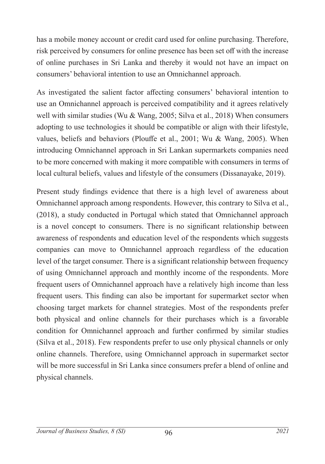has a mobile money account or credit card used for online purchasing. Therefore, risk perceived by consumers for online presence has been set off with the increase of online purchases in Sri Lanka and thereby it would not have an impact on consumers' behavioral intention to use an Omnichannel approach.

As investigated the salient factor affecting consumers' behavioral intention to use an Omnichannel approach is perceived compatibility and it agrees relatively well with similar studies (Wu & Wang, 2005; Silva et al., 2018) When consumers adopting to use technologies it should be compatible or align with their lifestyle, values, beliefs and behaviors (Plouffe et al., 2001; Wu & Wang, 2005). When introducing Omnichannel approach in Sri Lankan supermarkets companies need to be more concerned with making it more compatible with consumers in terms of local cultural beliefs, values and lifestyle of the consumers (Dissanayake, 2019).

Present study findings evidence that there is a high level of awareness about Omnichannel approach among respondents. However, this contrary to Silva et al., (2018), a study conducted in Portugal which stated that Omnichannel approach is a novel concept to consumers. There is no significant relationship between awareness of respondents and education level of the respondents which suggests companies can move to Omnichannel approach regardless of the education level of the target consumer. There is a significant relationship between frequency of using Omnichannel approach and monthly income of the respondents. More frequent users of Omnichannel approach have a relatively high income than less frequent users. This finding can also be important for supermarket sector when choosing target markets for channel strategies. Most of the respondents prefer both physical and online channels for their purchases which is a favorable condition for Omnichannel approach and further confirmed by similar studies (Silva et al., 2018). Few respondents prefer to use only physical channels or only online channels. Therefore, using Omnichannel approach in supermarket sector will be more successful in Sri Lanka since consumers prefer a blend of online and physical channels.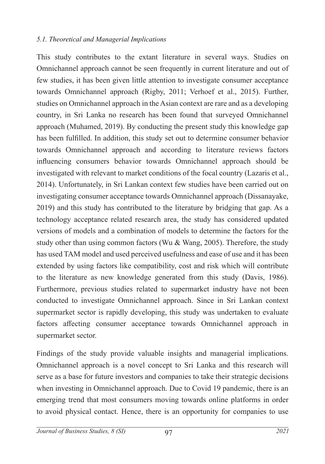#### *5.1. Theoretical and Managerial Implications*

This study contributes to the extant literature in several ways. Studies on Omnichannel approach cannot be seen frequently in current literature and out of few studies, it has been given little attention to investigate consumer acceptance towards Omnichannel approach (Rigby, 2011; Verhoef et al., 2015). Further, studies on Omnichannel approach in the Asian context are rare and as a developing country, in Sri Lanka no research has been found that surveyed Omnichannel approach (Muhamed, 2019). By conducting the present study this knowledge gap has been fulfilled. In addition, this study set out to determine consumer behavior towards Omnichannel approach and according to literature reviews factors influencing consumers behavior towards Omnichannel approach should be investigated with relevant to market conditions of the focal country (Lazaris et al., 2014). Unfortunately, in Sri Lankan context few studies have been carried out on investigating consumer acceptance towards Omnichannel approach (Dissanayake, 2019) and this study has contributed to the literature by bridging that gap. As a technology acceptance related research area, the study has considered updated versions of models and a combination of models to determine the factors for the study other than using common factors (Wu & Wang, 2005). Therefore, the study has used TAM model and used perceived usefulness and ease of use and it has been extended by using factors like compatibility, cost and risk which will contribute to the literature as new knowledge generated from this study (Davis, 1986). Furthermore, previous studies related to supermarket industry have not been conducted to investigate Omnichannel approach. Since in Sri Lankan context supermarket sector is rapidly developing, this study was undertaken to evaluate factors affecting consumer acceptance towards Omnichannel approach in supermarket sector.

Findings of the study provide valuable insights and managerial implications. Omnichannel approach is a novel concept to Sri Lanka and this research will serve as a base for future investors and companies to take their strategic decisions when investing in Omnichannel approach. Due to Covid 19 pandemic, there is an emerging trend that most consumers moving towards online platforms in order to avoid physical contact. Hence, there is an opportunity for companies to use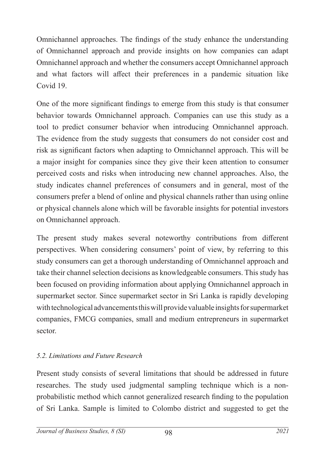Omnichannel approaches. The findings of the study enhance the understanding of Omnichannel approach and provide insights on how companies can adapt Omnichannel approach and whether the consumers accept Omnichannel approach and what factors will affect their preferences in a pandemic situation like Covid 19.

One of the more significant findings to emerge from this study is that consumer behavior towards Omnichannel approach. Companies can use this study as a tool to predict consumer behavior when introducing Omnichannel approach. The evidence from the study suggests that consumers do not consider cost and risk as significant factors when adapting to Omnichannel approach. This will be a major insight for companies since they give their keen attention to consumer perceived costs and risks when introducing new channel approaches. Also, the study indicates channel preferences of consumers and in general, most of the consumers prefer a blend of online and physical channels rather than using online or physical channels alone which will be favorable insights for potential investors on Omnichannel approach.

The present study makes several noteworthy contributions from different perspectives. When considering consumers' point of view, by referring to this study consumers can get a thorough understanding of Omnichannel approach and take their channel selection decisions as knowledgeable consumers. This study has been focused on providing information about applying Omnichannel approach in supermarket sector. Since supermarket sector in Sri Lanka is rapidly developing with technological advancements this will provide valuable insights for supermarket companies, FMCG companies, small and medium entrepreneurs in supermarket sector.

### *5.2. Limitations and Future Research*

Present study consists of several limitations that should be addressed in future researches. The study used judgmental sampling technique which is a nonprobabilistic method which cannot generalized research finding to the population of Sri Lanka. Sample is limited to Colombo district and suggested to get the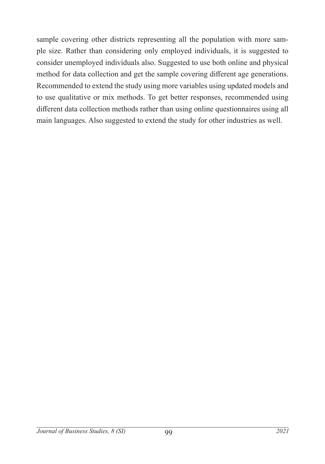sample covering other districts representing all the population with more sample size. Rather than considering only employed individuals, it is suggested to consider unemployed individuals also. Suggested to use both online and physical method for data collection and get the sample covering different age generations. Recommended to extend the study using more variables using updated models and to use qualitative or mix methods. To get better responses, recommended using different data collection methods rather than using online questionnaires using all main languages. Also suggested to extend the study for other industries as well.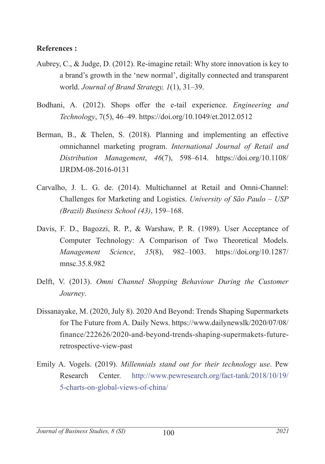#### **References :**

- Aubrey, C., & Judge, D. (2012). Re-imagine retail: Why store innovation is key to a brand's growth in the 'new normal', digitally connected and transparent world. *Journal of Brand Strategy, 1*(1), 31–39.
- Bodhani, A. (2012). Shops offer the e-tail experience. *Engineering and Technology*, 7(5), 46–49. https://doi.org/10.1049/et.2012.0512
- Berman, B., & Thelen, S. (2018). Planning and implementing an effective omnichannel marketing program. *International Journal of Retail and Distribution Management*, *46*(7), 598–614. https://doi.org/10.1108/ IJRDM-08-2016-0131
- Carvalho, J. L. G. de. (2014). Multichannel at Retail and Omni-Channel: Challenges for Marketing and Logistics. *University of São Paulo – USP (Brazil) Business School (43)*, 159–168.
- Davis, F. D., Bagozzi, R. P., & Warshaw, P. R. (1989). User Acceptance of Computer Technology: A Comparison of Two Theoretical Models. *Management Science*, *35*(8), 982–1003. https://doi.org/10.1287/ mnsc.35.8.982
- Delft, V. (2013). *Omni Channel Shopping Behaviour During the Customer Journey*.
- Dissanayake, M. (2020, July 8). 2020 And Beyond: Trends Shaping Supermarkets for The Future from A. Daily News. https://www.dailynewslk/2020/07/08/ finance/222626/2020-and-beyond-trends-shaping-supermakets-futureretrospective-view-past
- Emily A. Vogels. (2019). *Millennials stand out for their technology use*. Pew Research Center. http://www.pewresearch.org/fact-tank/2018/10/19/ 5-charts-on-global-views-of-china/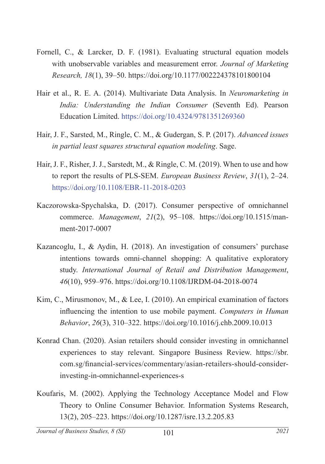- Fornell, C., & Larcker, D. F. (1981). Evaluating structural equation models with unobservable variables and measurement error. *Journal of Marketing Research, 18*(1), 39–50. https://doi.org/10.1177/002224378101800104
- Hair et al., R. E. A. (2014). Multivariate Data Analysis. In *Neuromarketing in India: Understanding the Indian Consumer* (Seventh Ed). Pearson Education Limited. https://doi.org/10.4324/9781351269360
- Hair, J. F., Sarsted, M., Ringle, C. M., & Gudergan, S. P. (2017). *Advanced issues in partial least squares structural equation modeling*. Sage.
- Hair, J. F., Risher, J. J., Sarstedt, M., & Ringle, C. M. (2019). When to use and how to report the results of PLS-SEM. *European Business Review*, *31*(1), 2–24. https://doi.org/10.1108/EBR-11-2018-0203
- Kaczorowska-Spychalska, D. (2017). Consumer perspective of omnichannel commerce. *Management*, *21*(2), 95–108. https://doi.org/10.1515/manment-2017-0007
- Kazancoglu, I., & Aydin, H. (2018). An investigation of consumers' purchase intentions towards omni-channel shopping: A qualitative exploratory study. *International Journal of Retail and Distribution Management*, *46*(10), 959–976. https://doi.org/10.1108/IJRDM-04-2018-0074
- Kim, C., Mirusmonov, M., & Lee, I. (2010). An empirical examination of factors influencing the intention to use mobile payment. *Computers in Human Behavior*, *26*(3), 310–322. https://doi.org/10.1016/j.chb.2009.10.013
- Konrad Chan. (2020). Asian retailers should consider investing in omnichannel experiences to stay relevant. Singapore Business Review. https://sbr. com.sg/financial-services/commentary/asian-retailers-should-considerinvesting-in-omnichannel-experiences-s
- Koufaris, M. (2002). Applying the Technology Acceptance Model and Flow Theory to Online Consumer Behavior. Information Systems Research, 13(2), 205–223. https://doi.org/10.1287/isre.13.2.205.83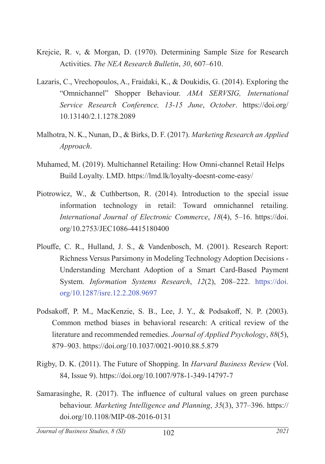- Krejcie, R. v, & Morgan, D. (1970). Determining Sample Size for Research Activities. *The NEA Research Bulletin*, *30*, 607–610.
- Lazaris, C., Vrechopoulos, A., Fraidaki, K., & Doukidis, G. (2014). Exploring the "Omnichannel" Shopper Behaviour. *AMA SERVSIG, International Service Research Conference, 13-15 June*, *October*. https://doi.org/ 10.13140/2.1.1278.2089
- Malhotra, N. K., Nunan, D., & Birks, D. F. (2017). *Marketing Research an Applied Approach*.
- Muhamed, M. (2019). Multichannel Retailing: How Omni-channel Retail Helps Build Loyalty. LMD. https://lmd.lk/loyalty-doesnt-come-easy/
- Piotrowicz, W., & Cuthbertson, R. (2014). Introduction to the special issue information technology in retail: Toward omnichannel retailing. *International Journal of Electronic Commerce*, *18*(4), 5–16. https://doi. org/10.2753/JEC1086-4415180400
- Plouffe, C. R., Hulland, J. S., & Vandenbosch, M. (2001). Research Report: Richness Versus Parsimony in Modeling Technology Adoption Decisions - Understanding Merchant Adoption of a Smart Card-Based Payment System. *Information Systems Research*, *12*(2), 208–222. https://doi. org/10.1287/isre.12.2.208.9697
- Podsakoff, P. M., MacKenzie, S. B., Lee, J. Y., & Podsakoff, N. P. (2003). Common method biases in behavioral research: A critical review of the literature and recommended remedies. *Journal of Applied Psychology*, *88*(5), 879–903. https://doi.org/10.1037/0021-9010.88.5.879
- Rigby, D. K. (2011). The Future of Shopping. In *Harvard Business Review* (Vol. 84, Issue 9). https://doi.org/10.1007/978-1-349-14797-7
- Samarasinghe, R. (2017). The influence of cultural values on green purchase behaviour. *Marketing Intelligence and Planning*, *35*(3), 377–396. https:// doi.org/10.1108/MIP-08-2016-0131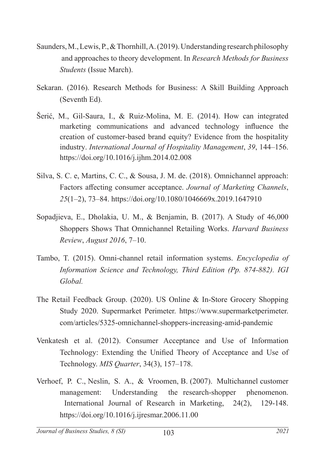- Saunders, M., Lewis, P., & Thornhill, A. (2019). Understanding research philosophy and approaches to theory development. In *Research Methods for Business Students* (Issue March).
- Sekaran. (2016). Research Methods for Business: A Skill Building Approach (Seventh Ed).
- Šerić, M., Gil-Saura, I., & Ruiz-Molina, M. E. (2014). How can integrated marketing communications and advanced technology influence the creation of customer-based brand equity? Evidence from the hospitality industry. *International Journal of Hospitality Management*, *39*, 144–156. https://doi.org/10.1016/j.ijhm.2014.02.008
- Silva, S. C. e, Martins, C. C., & Sousa, J. M. de. (2018). Omnichannel approach: Factors affecting consumer acceptance. *Journal of Marketing Channels*, *25*(1–2), 73–84. https://doi.org/10.1080/1046669x.2019.1647910
- Sopadjieva, E., Dholakia, U. M., & Benjamin, B. (2017). A Study of 46,000 Shoppers Shows That Omnichannel Retailing Works. *Harvard Business Review*, *August 2016*, 7–10.
- Tambo, T. (2015). Omni-channel retail information systems. *Encyclopedia of Information Science and Technology, Third Edition (Pp. 874-882). IGI Global.*
- The Retail Feedback Group. (2020). US Online & In-Store Grocery Shopping Study 2020. Supermarket Perimeter. https://www.supermarketperimeter. com/articles/5325-omnichannel-shoppers-increasing-amid-pandemic
- Venkatesh et al. (2012). Consumer Acceptance and Use of Information Technology: Extending the Unified Theory of Acceptance and Use of Technology. *MIS Quarter*, 34(3), 157–178.
- Verhoef, P. C., Neslin, S. A., & Vroomen, B. (2007). Multichannel customer management: Understanding the research-shopper phenomenon. International Journal of Research in Marketing, 24(2), 129-148. https://doi.org/10.1016/j.ijresmar.2006.11.00